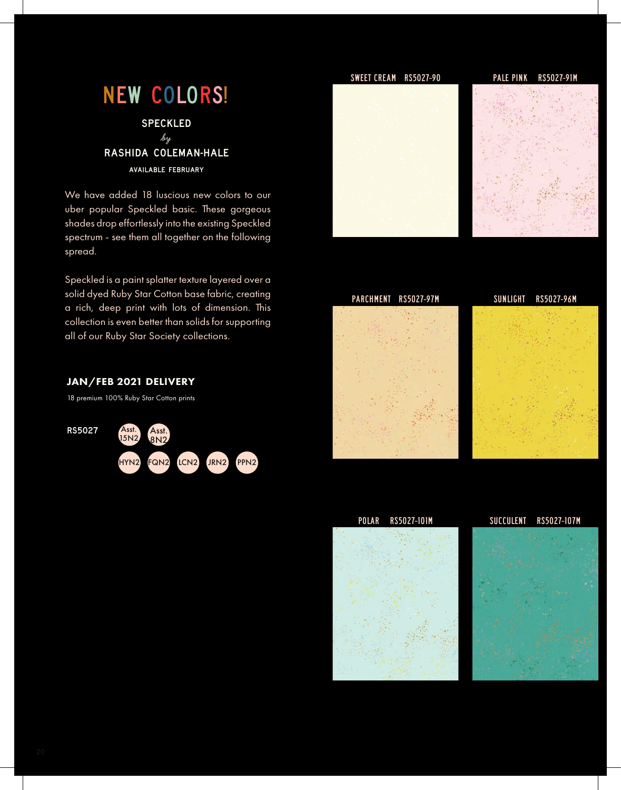# New colors!

**SPECKLED by** rashida coleman-hale available february

We have added 18 luscious new colors to our uber popular Speckled basic. These gorgeous shades drop effortlessly into the existing Speckled spectrum - see them all together on the following spread.

Speckled is a paint splatter texture layered over a solid dyed Ruby Star Cotton base fabric, creating a rich, deep print with lots of dimension. This collection is even better than solids for supporting all of our Ruby Star Society collections.

# JAN/FEB 2021 DELIVERY

18 premium 100% Ruby Star Cotton prints











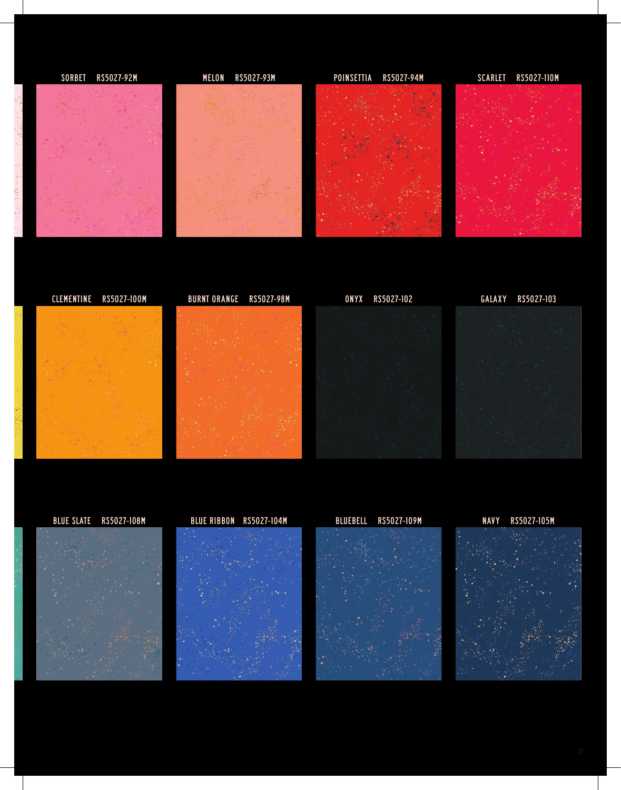













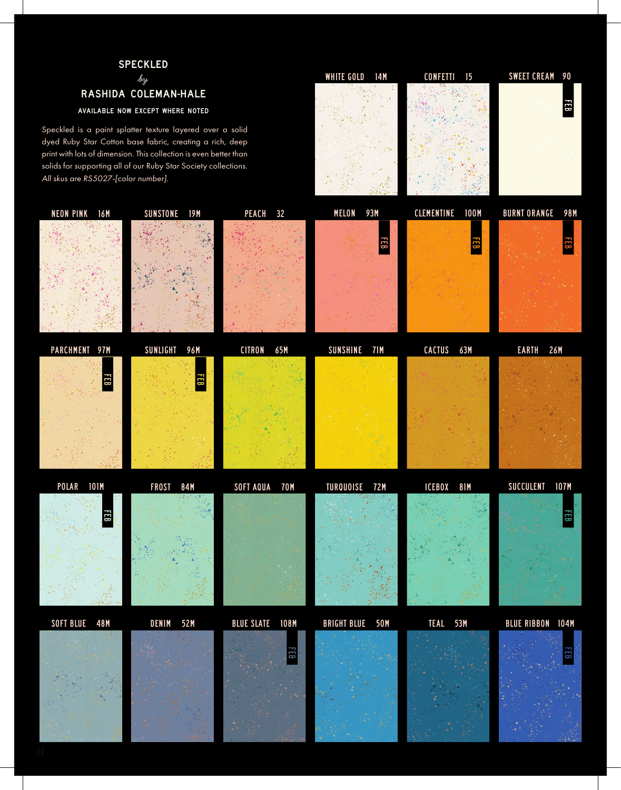### speckled

# **by** rashida coleman-hale

#### available now except where noted

Speckled is a paint splatter texture layered over a solid dyed Ruby Star Cotton base fabric, creating a rich, deep print with lots of dimension. This collection is even better than solids for supporting all of our Ruby Star Society collections. *All skus are RS5027-[color number]*.